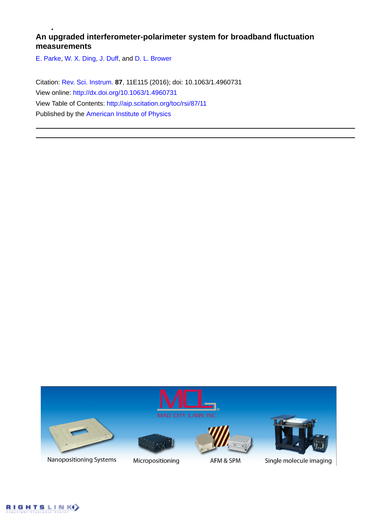# **An upgraded interferometer-polarimeter system for broadband fluctuation measurements**

[E. Parke,](http://aip.scitation.org/author/Parke%2C+E) [W. X. Ding](http://aip.scitation.org/author/Ding%2C+W+X), [J. Duff](http://aip.scitation.org/author/Duff%2C+J), and [D. L. Brower](http://aip.scitation.org/author/Brower%2C+D+L)

Citation: [Rev. Sci. Instrum.](/loi/rsi) **87**, 11E115 (2016); doi: 10.1063/1.4960731 View online: <http://dx.doi.org/10.1063/1.4960731> View Table of Contents: <http://aip.scitation.org/toc/rsi/87/11> Published by the [American Institute of Physics](http://aip.scitation.org/publisher/)



Nanopositioning Systems



Micropositioning



AFM & SPM



Single molecule imaging

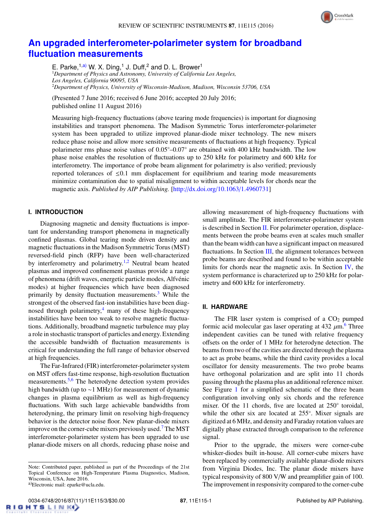

# **[An upgraded interferometer-polarimeter system for broadband](http://dx.doi.org/10.1063/1.4960731) [fluctuation measurements](http://dx.doi.org/10.1063/1.4960731)**

E. Parke,  $1, a)$  W. X. Ding,  $1$  J. Duff,  $2$  and D. L. Brower  $1$ 

<sup>1</sup>*Department of Physics and Astronomy, University of California Los Angeles, Los Angeles, California 90095, USA* <sup>2</sup>*Department of Physics, University of Wisconsin-Madison, Madison, Wisconsin 53706, USA*

(Presented 7 June 2016; received 6 June 2016; accepted 20 July 2016; published online 11 August 2016)

Measuring high-frequency fluctuations (above tearing mode frequencies) is important for diagnosing instabilities and transport phenomena. The Madison Symmetric Torus interferometer-polarimeter system has been upgraded to utilize improved planar-diode mixer technology. The new mixers reduce phase noise and allow more sensitive measurements of fluctuations at high frequency. Typical polarimeter rms phase noise values of 0.05°–0.07° are obtained with 400 kHz bandwidth. The low phase noise enables the resolution of fluctuations up to 250 kHz for polarimetry and 600 kHz for interferometry. The importance of probe beam alignment for polarimetry is also verified; previously reported tolerances of  $\leq 0.1$  mm displacement for equilibrium and tearing mode measurements minimize contamination due to spatial misalignment to within acceptable levels for chords near the magnetic axis. *Published by AIP Publishing.* [\[http:](http://dx.doi.org/10.1063/1.4960731)//[dx.doi.org](http://dx.doi.org/10.1063/1.4960731)/[10.1063](http://dx.doi.org/10.1063/1.4960731)/[1.4960731\]](http://dx.doi.org/10.1063/1.4960731)

## **I. INTRODUCTION**

Diagnosing magnetic and density fluctuations is important for understanding transport phenomena in magnetically confined plasmas. Global tearing mode driven density and magnetic fluctuations in the Madison Symmetric Torus (MST) reversed-field pinch (RFP) have been well-characterized by interferometry and polarimetry.<sup>[1,](#page-3-0)[2](#page-3-1)</sup> Neutral beam heated plasmas and improved confinement plasmas provide a range of phenomena (drift waves, energetic particle modes, Alfvénic modes) at higher frequencies which have been diagnosed primarily by density fluctuation measurements.[3](#page-3-2) While the strongest of the observed fast-ion instabilities have been diagnosed through polarimetry, $4$  many of these high-frequency instabilities have been too weak to resolve magnetic fluctuations. Additionally, broadband magnetic turbulence may play a role in stochastic transport of particles and energy. Extending the accessible bandwidth of fluctuation measurements is critical for understanding the full range of behavior observed at high frequencies.

The Far-Infrared (FIR) interferometer-polarimeter system on MST offers fast-time response, high-resolution fluctuation measurements.<sup>[5,](#page-3-4)[6](#page-3-5)</sup> The heterodyne detection system provides high bandwidth (up to ∼1 MHz) for measurement of dynamic changes in plasma equilibrium as well as high-frequency fluctuations. With such large achievable bandwidths from heterodyning, the primary limit on resolving high-frequency behavior is the detector noise floor. New planar-diode mixers improve on the corner-cube mixers previously used.[7](#page-3-6) The MST interferometer-polarimeter system has been upgraded to use planar-diode mixers on all chords, reducing phase noise and

Note: Contributed paper, published as part of the Proceedings of the 21st Topical Conference on High-Temperature Plasma Diagnostics, Madison, Wisconsin, USA, June 2016.

allowing measurement of high-frequency fluctuations with small amplitude. The FIR interferometer-polarimeter system is described in Section [II.](#page-1-1) For polarimeter operation, displacements between the probe beams even at scales much smaller than the beam width can have a significant impact on measured fluctuations. In Section [III,](#page-2-0) the alignment tolerances between probe beams are described and found to be within acceptable limits for chords near the magnetic axis. In Section [IV,](#page-2-1) the system performance is characterized up to 250 kHz for polarimetry and 600 kHz for interferometry.

#### <span id="page-1-1"></span>**II. HARDWARE**

The FIR laser system is comprised of a  $CO<sub>2</sub>$  pumped formic acid molecular gas laser operating at  $432 \mu m$ .<sup>[6](#page-3-5)</sup> Three independent cavities can be tuned with relative frequency offsets on the order of 1 MHz for heterodyne detection. The beams from two of the cavities are directed through the plasma to act as probe beams, while the third cavity provides a local oscillator for density measurements. The two probe beams have orthogonal polarization and are split into 11 chords passing through the plasma plus an additional reference mixer. See Figure [1](#page-2-2) for a simplified schematic of the three beam configuration involving only six chords and the reference mixer. Of the 11 chords, five are located at 250° toroidal, while the other six are located at 255°. Mixer signals are digitized at 6 MHz, and density and Faraday rotation values are digitally phase extracted through comparison to the reference signal.

Prior to the upgrade, the mixers were corner-cube whisker-diodes built in-house. All corner-cube mixers have been replaced by commercially available planar-diode mixers from Virginia Diodes, Inc. The planar diode mixers have typical responsivity of 800 V/W and preamplifier gain of 100. The improvement in responsivity compared to the corner-cube

<span id="page-1-0"></span>a)Electronic mail: eparke@ucla.edu.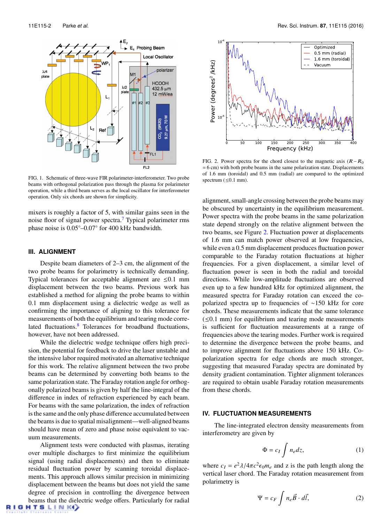<span id="page-2-2"></span>

FIG. 1. Schematic of three-wave FIR polarimeter-interferometer. Two probe beams with orthogonal polarization pass through the plasma for polarimeter operation, while a third beam serves as the local oscillator for interferometer operation. Only six chords are shown for simplicity.

mixers is roughly a factor of 5, with similar gains seen in the noise floor of signal power spectra.<sup>[7](#page-3-6)</sup> Typical polarimeter rms phase noise is 0.05<sup>°</sup>−0.07<sup>°</sup> for 400 kHz bandwidth.

### <span id="page-2-0"></span>**III. ALIGNMENT**

Despite beam diameters of 2–3 cm, the alignment of the two probe beams for polarimetry is technically demanding. Typical tolerances for acceptable alignment are  $\leq 0.1$  mm displacement between the two beams. Previous work has established a method for aligning the probe beams to within 0.1 mm displacement using a dielectric wedge as well as confirming the importance of aligning to this tolerance for measurements of both the equilibrium and tearing mode corre-lated fluctuations.<sup>[8](#page-3-7)</sup> Tolerances for broadband fluctuations, however, have not been addressed.

While the dielectric wedge technique offers high precision, the potential for feedback to drive the laser unstable and the intensive labor required motivated an alternative technique for this work. The relative alignment between the two probe beams can be determined by converting both beams to the same polarization state. The Faraday rotation angle for orthogonally polarized beams is given by half the line-integral of the difference in index of refraction experienced by each beam. For beams with the same polarization, the index of refraction is the same and the only phase difference accumulated between the beams is due to spatial misalignment—well-aligned beams should have mean of zero and phase noise equivalent to vacuum measurements.

Alignment tests were conducted with plasmas, iterating over multiple discharges to first minimize the equilibrium signal (using radial displacements) and then to eliminate residual fluctuation power by scanning toroidal displacements. This approach allows similar precision in minimizing displacement between the beams but does not yield the same degree of precision in controlling the divergence between beams that the dielectric wedge offers. Particularly for radial  $\mathbf{H} \mathbf{T} \mathbf{S} \mathbf{L} \mathbf{I} \mathbf{N} \mathbf{K}$ 

<span id="page-2-3"></span>

FIG. 2. Power spectra for the chord closest to the magnetic axis  $(R-R_0)$ = 6 cm) with both probe beams in the same polarization state. Displacements of 1.6 mm (toroidal) and 0.5 mm (radial) are compared to the optimized spectrum  $(\leq 0.1$  mm).

alignment, small-angle crossing between the probe beams may be obscured by uncertainty in the equilibrium measurement. Power spectra with the probe beams in the same polarization state depend strongly on the relative alignment between the two beams, see Figure [2.](#page-2-3) Fluctuation power at displacements of 1.6 mm can match power observed at low frequencies, while even a 0.5 mm displacement produces fluctuation power comparable to the Faraday rotation fluctuations at higher frequencies. For a given displacement, a similar level of fluctuation power is seen in both the radial and toroidal directions. While low-amplitude fluctuations are observed even up to a few hundred kHz for optimized alignment, the measured spectra for Faraday rotation can exceed the copolarized spectra up to frequencies of ∼150 kHz for core chords. These measurements indicate that the same tolerance  $(\leq 0.1$  mm) for equilibrium and tearing mode measurements is sufficient for fluctuation measurements at a range of frequencies above the tearing modes. Further work is required to determine the divergence between the probe beams, and to improve alignment for fluctuations above 150 kHz. Copolarization spectra for edge chords are much stronger, suggesting that measured Faraday spectra are dominated by density gradient contamination. Tighter alignment tolerances are required to obtain usable Faraday rotation measurements from these chords.

### <span id="page-2-1"></span>**IV. FLUCTUATION MEASUREMENTS**

The line-integrated electron density measurements from interferometry are given by

$$
\Phi = c_I \int n_e dz, \tag{1}
$$

where  $c_I = e^2 \lambda / 4\pi c^2 \epsilon_0 m_e$  and z is the path length along the vertical laser chord. The Faraday rotation measurement from vertical laser chord. The Faraday rotation measurement from polarimetry is

$$
\Psi = c_F \int n_e \vec{B} \cdot d\vec{l}, \qquad (2)
$$